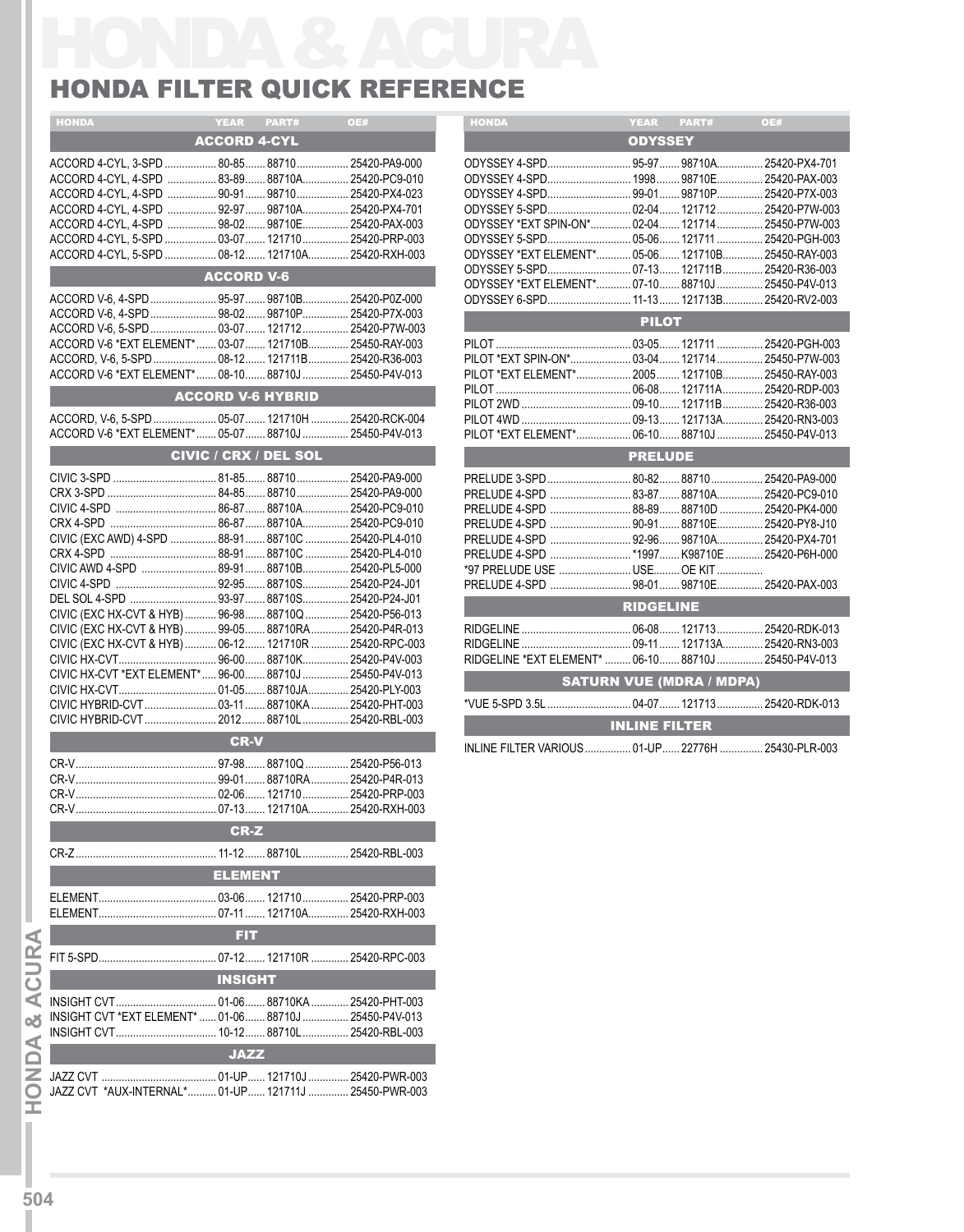## HONDA FILTER QUICK REFERENCE

| <b>HONDA</b>                                                                                             | <b>YEAR</b><br>PART#         | OE#                     | <b>HONDA</b>                               | <b>YEAR</b>                     | PART# |  |
|----------------------------------------------------------------------------------------------------------|------------------------------|-------------------------|--------------------------------------------|---------------------------------|-------|--|
|                                                                                                          | <b>ACCORD 4-CYL</b>          |                         |                                            | <b>ODYSSEY</b>                  |       |  |
| ACCORD 4-CYL, 3-SPD  80-85 88710  25420-PA9-000                                                          |                              |                         |                                            |                                 |       |  |
| ACCORD 4-CYL, 4-SPD  83-89 88710A 25420-PC9-010                                                          |                              |                         | ODYSSEY 4-SPD 1998 98710E 254              |                                 |       |  |
| ACCORD 4-CYL, 4-SPD  90-91 98710 25420-PX4-023                                                           |                              |                         |                                            |                                 |       |  |
| ACCORD 4-CYL, 4-SPD  92-97  98710A 25420-PX4-701                                                         |                              |                         | ODYSSEY 5-SPD 02-04 121712 254             |                                 |       |  |
| ACCORD 4-CYL, 4-SPD  98-02 98710E 25420-PAX-003                                                          |                              |                         | ODYSSEY *EXT SPIN-ON* 02-04 121714 254     |                                 |       |  |
| ACCORD 4-CYL, 5-SPD  03-07  121710  25420-PRP-003<br>ACCORD 4-CYL, 5-SPD  08-12 121710A 25420-RXH-003    |                              |                         | ODYSSEY *EXT ELEMENT* 05-06 121710B 254    |                                 |       |  |
|                                                                                                          |                              |                         |                                            |                                 |       |  |
|                                                                                                          | <b>ACCORD V-6</b>            |                         | ODYSSEY *EXT ELEMENT* 07-10 88710J  254    |                                 |       |  |
|                                                                                                          |                              |                         | ODYSSEY 6-SPD 11-13 121713B 254            |                                 |       |  |
| ACCORD V-6, 4-SPD  98-02  98710P  25420-P7X-003                                                          |                              |                         |                                            | <b>PILOT</b>                    |       |  |
|                                                                                                          |                              |                         |                                            |                                 |       |  |
| ACCORD V-6 *EXT ELEMENT* 03-07 121710B 25450-RAY-003                                                     |                              |                         |                                            |                                 |       |  |
| ACCORD, V-6, 5-SPD  08-12 121711B  25420-R36-003<br>ACCORD V-6 *EXT ELEMENT* 08-10 88710J  25450-P4V-013 |                              |                         | PILOT *EXT ELEMENT* 2005 121710B 254       |                                 |       |  |
|                                                                                                          |                              |                         |                                            |                                 |       |  |
|                                                                                                          | <b>ACCORD V-6 HYBRID</b>     |                         |                                            |                                 |       |  |
|                                                                                                          |                              |                         |                                            |                                 |       |  |
| ACCORD V-6 *EXT ELEMENT* 05-07 88710J 25450-P4V-013                                                      |                              |                         | PILOT *EXT ELEMENT* 06-10 88710J  254      |                                 |       |  |
|                                                                                                          | <b>CIVIC / CRX / DEL SOL</b> |                         |                                            | <b>PRELUDE</b>                  |       |  |
|                                                                                                          |                              |                         | PRELUDE 3-SPD  80-82  88710  254           |                                 |       |  |
|                                                                                                          |                              |                         |                                            |                                 |       |  |
|                                                                                                          |                              |                         | PRELUDE 4-SPD  88-89  88710D  254          |                                 |       |  |
|                                                                                                          |                              |                         | PRELUDE 4-SPD  90-91 88710E 254            |                                 |       |  |
| CIVIC (EXC AWD) 4-SPD  88-91  88710C  25420-PL4-010                                                      |                              |                         |                                            |                                 |       |  |
|                                                                                                          |                              |                         | PRELUDE 4-SPD *1997 K98710E  254           |                                 |       |  |
| CIVIC AWD 4-SPD  89-91 88710B 25420-PL5-000                                                              |                              |                         | *97 PRELUDE USE  USE OE KIT                |                                 |       |  |
|                                                                                                          |                              |                         |                                            |                                 |       |  |
| CIVIC (EXC HX-CVT & HYB)  96-98 88710Q  25420-P56-013                                                    |                              |                         |                                            | <b>RIDGELINE</b>                |       |  |
| CIVIC (EXC HX-CVT & HYB)  99-05 88710RA  25420-P4R-013                                                   |                              |                         |                                            |                                 |       |  |
| CIVIC (EXC HX-CVT & HYB)  06-12 121710R  25420-RPC-003                                                   |                              |                         |                                            |                                 |       |  |
|                                                                                                          |                              |                         | RIDGELINE *EXT ELEMENT*  06-10 88710J  254 |                                 |       |  |
| CIVIC HX-CVT *EXT ELEMENT* 96-00 88710J  25450-P4V-013                                                   |                              |                         |                                            | <b>SATURN VUE (MDRA / MDPA)</b> |       |  |
| CIVIC HYBRID-CVT  03-11  88710KA  25420-PHT-003                                                          |                              |                         |                                            |                                 |       |  |
|                                                                                                          |                              | 88710L<br>25420-RBL-003 |                                            |                                 |       |  |
|                                                                                                          | <b>CR-V</b>                  |                         |                                            | <b>INLINE FILTER</b>            |       |  |
|                                                                                                          |                              |                         | INLINE FILTER VARIOUS  01-UP  22776H  254  |                                 |       |  |
|                                                                                                          |                              |                         |                                            |                                 |       |  |
|                                                                                                          |                              |                         |                                            |                                 |       |  |
|                                                                                                          |                              |                         |                                            |                                 |       |  |
|                                                                                                          | <b>CR-Z</b>                  |                         |                                            |                                 |       |  |
|                                                                                                          |                              |                         |                                            |                                 |       |  |
|                                                                                                          | <b>ELEMENT</b>               |                         |                                            |                                 |       |  |
|                                                                                                          |                              |                         |                                            |                                 |       |  |
|                                                                                                          | . 07-11  121710A             | . 25420-RXH-003         |                                            |                                 |       |  |
|                                                                                                          | <b>FIT</b>                   |                         |                                            |                                 |       |  |
|                                                                                                          |                              |                         |                                            |                                 |       |  |
|                                                                                                          |                              |                         |                                            |                                 |       |  |
|                                                                                                          | <b>INSIGHT</b>               |                         |                                            |                                 |       |  |
|                                                                                                          |                              |                         |                                            |                                 |       |  |
| INSIGHT CVT *EXT ELEMENT*  01-06  88710J  25450-P4V-013                                                  |                              |                         |                                            |                                 |       |  |
|                                                                                                          |                              |                         |                                            |                                 |       |  |
|                                                                                                          | <b>JAZZ</b>                  |                         |                                            |                                 |       |  |
|                                                                                                          |                              |                         |                                            |                                 |       |  |
|                                                                                                          |                              |                         |                                            |                                 |       |  |
| JAZZ CVT *AUX-INTERNAL* 01-UP 121711J  25450-PWR-003                                                     |                              |                         |                                            |                                 |       |  |

| <b>HONDA</b>                                         |                      | YEAR PART# OE#                  |  |  |  |  |  |
|------------------------------------------------------|----------------------|---------------------------------|--|--|--|--|--|
|                                                      | <b>ODYSSEY</b>       |                                 |  |  |  |  |  |
| ODYSSEY 4-SPD 95-97 98710A 25420-PX4-701             |                      |                                 |  |  |  |  |  |
|                                                      |                      |                                 |  |  |  |  |  |
| ODYSSEY 4-SPD 99-01 98710P 25420-P7X-003             |                      |                                 |  |  |  |  |  |
|                                                      |                      |                                 |  |  |  |  |  |
| ODYSSEY *EXT SPIN-ON* 02-04 121714 25450-P7W-003     |                      |                                 |  |  |  |  |  |
|                                                      |                      |                                 |  |  |  |  |  |
| ODYSSEY *EXT ELEMENT* 05-06 121710B 25450-RAY-003    |                      |                                 |  |  |  |  |  |
| ODYSSEY 5-SPD 07-13 121711B 25420-R36-003            |                      |                                 |  |  |  |  |  |
| ODYSSEY *EXT ELEMENT* 07-10 88710J  25450-P4V-013    |                      |                                 |  |  |  |  |  |
| ODYSSEY 6-SPD 11-13 121713B 25420-RV2-003            |                      |                                 |  |  |  |  |  |
| <b>PILOT</b>                                         |                      |                                 |  |  |  |  |  |
|                                                      |                      |                                 |  |  |  |  |  |
| PILOT *EXT SPIN-ON* 03-04 121714 25450-P7W-003       |                      |                                 |  |  |  |  |  |
| PILOT *EXT ELEMENT* 2005 121710B 25450-RAY-003       |                      |                                 |  |  |  |  |  |
|                                                      |                      |                                 |  |  |  |  |  |
|                                                      |                      |                                 |  |  |  |  |  |
|                                                      |                      |                                 |  |  |  |  |  |
| PILOT *EXT ELEMENT* 06-10 88710J  25450-P4V-013      |                      |                                 |  |  |  |  |  |
| <b>PRELUDE</b>                                       |                      |                                 |  |  |  |  |  |
| PRELUDE 3-SPD  80-82 88710  25420-PA9-000            |                      |                                 |  |  |  |  |  |
|                                                      |                      |                                 |  |  |  |  |  |
|                                                      |                      |                                 |  |  |  |  |  |
| PRELUDE 4-SPD  90-91 88710E 25420-PY8-J10            |                      |                                 |  |  |  |  |  |
| PRELUDE 4-SPD  92-96 98710A 25420-PX4-701            |                      |                                 |  |  |  |  |  |
|                                                      |                      |                                 |  |  |  |  |  |
| *97 PRELUDE USE  USE OE KIT                          |                      |                                 |  |  |  |  |  |
| PRELUDE 4-SPD  98-01 98710E 25420-PAX-003            |                      |                                 |  |  |  |  |  |
| RIDGELINE                                            |                      |                                 |  |  |  |  |  |
|                                                      |                      |                                 |  |  |  |  |  |
|                                                      |                      |                                 |  |  |  |  |  |
| RIDGELINE *EXT ELEMENT*  06-10 88710J  25450-P4V-013 |                      |                                 |  |  |  |  |  |
|                                                      |                      | <b>SATURN VUE (MDRA / MDPA)</b> |  |  |  |  |  |
| *VUE 5-SPD 3.5L  04-07  121713  25420-RDK-013        |                      |                                 |  |  |  |  |  |
|                                                      | <b>INLINE FILTER</b> |                                 |  |  |  |  |  |
| INLINE FILTER VARIOUS  01-UP  22776H  25430-PLR-003  |                      |                                 |  |  |  |  |  |

**IHON D A &**